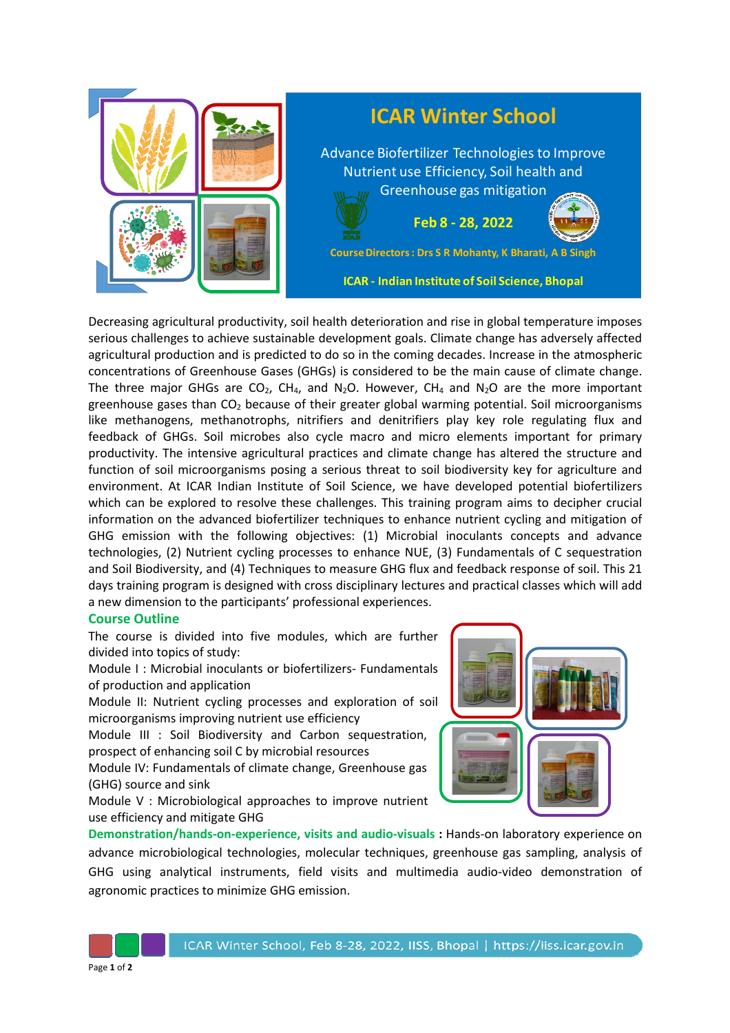

Decreasing agricultural productivity, soil health deterioration and rise in global temperature imposes serious challenges to achieve sustainable development goals. Climate change has adversely affected agricultural production and is predicted to do so in the coming decades. Increase in the atmospheric concentrations of Greenhouse Gases (GHGs) is considered to be the main cause of climate change. The three major GHGs are  $CO<sub>2</sub>$ , CH<sub>4</sub>, and N<sub>2</sub>O. However, CH<sub>4</sub> and N<sub>2</sub>O are the more important greenhouse gases than  $CO<sub>2</sub>$  because of their greater global warming potential. Soil microorganisms like methanogens, methanotrophs, nitrifiers and denitrifiers play key role regulating flux and feedback of GHGs. Soil microbes also cycle macro and micro elements important for primary productivity. The intensive agricultural practices and climate change has altered the structure and function of soil microorganisms posing a serious threat to soil biodiversity key for agriculture and environment. At ICAR Indian Institute of Soil Science, we have developed potential biofertilizers which can be explored to resolve these challenges. This training program aims to decipher crucial information on the advanced biofertilizer techniques to enhance nutrient cycling and mitigation of GHG emission with the following objectives: (1) Microbial inoculants concepts and advance technologies, (2) Nutrient cycling processes to enhance NUE, (3) Fundamentals of C sequestration and Soil Biodiversity, and (4) Techniques to measure GHG flux and feedback response of soil. This 21 days training program is designed with cross disciplinary lectures and practical classes which will add a new dimension to the participants' professional experiences.

## **Course Outline**

The course is divided into five modules, which are further divided into topics of study:

Module I : Microbial inoculants or biofertilizers- Fundamentals of production and application

Module II: Nutrient cycling processes and exploration of soil microorganisms improving nutrient use efficiency

Module III : Soil Biodiversity and Carbon sequestration, prospect of enhancing soil C by microbial resources

Module IV: Fundamentals of climate change, Greenhouse gas (GHG) source and sink

Module V : Microbiological approaches to improve nutrient use efficiency and mitigate GHG



**Demonstration/hands-on-experience, visits and audio-visuals :** Hands-on laboratory experience on advance microbiological technologies, molecular techniques, greenhouse gas sampling, analysis of GHG using analytical instruments, field visits and multimedia audio-video demonstration of agronomic practices to minimize GHG emission.